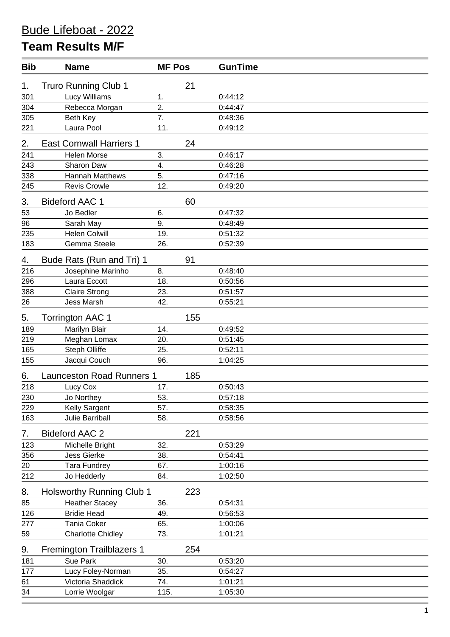## **Team Results M/F**

| <b>Bib</b> | <b>Name</b>                      | <b>MF Pos</b> |     | <b>GunTime</b> |
|------------|----------------------------------|---------------|-----|----------------|
| 1.         | <b>Truro Running Club 1</b>      |               | 21  |                |
| 301        | Lucy Williams                    | 1.            |     | 0:44:12        |
| 304        | Rebecca Morgan                   | 2.            |     | 0:44:47        |
| 305        | Beth Key                         | 7.            |     | 0:48:36        |
| 221        | Laura Pool                       | 11.           |     | 0:49:12        |
| 2.         | <b>East Cornwall Harriers 1</b>  |               | 24  |                |
| 241        | <b>Helen Morse</b>               | 3.            |     | 0:46:17        |
| 243        | Sharon Daw                       | 4.            |     | 0:46:28        |
| 338        | <b>Hannah Matthews</b>           | 5.            |     | 0:47:16        |
| 245        | <b>Revis Crowle</b>              | 12.           |     | 0:49:20        |
| 3.         | <b>Bideford AAC 1</b>            |               | 60  |                |
| 53         | Jo Bedler                        | 6.            |     | 0:47:32        |
| 96         | Sarah May                        | 9.            |     | 0:48:49        |
| 235        | <b>Helen Colwill</b>             | 19.           |     | 0:51:32        |
| 183        | Gemma Steele                     | 26.           |     | 0:52:39        |
| 4.         | Bude Rats (Run and Tri) 1        |               | 91  |                |
| 216        | Josephine Marinho                | 8.            |     | 0:48:40        |
| 296        | Laura Eccott                     | 18.           |     | 0:50:56        |
| 388        | <b>Claire Strong</b>             | 23.           |     | 0:51:57        |
| 26         | <b>Jess Marsh</b>                | 42.           |     | 0:55:21        |
| 5.         | <b>Torrington AAC 1</b>          |               | 155 |                |
| 189        | Marilyn Blair                    | 14.           |     | 0:49:52        |
| 219        | Meghan Lomax                     | 20.           |     | 0:51:45        |
| 165        | <b>Steph Olliffe</b>             | 25.           |     | 0:52:11        |
| 155        | Jacqui Couch                     | 96.           |     | 1:04:25        |
| 6.         | <b>Launceston Road Runners 1</b> |               | 185 |                |
| 218        | Lucy Cox                         | 17.           |     | 0:50:43        |
| 230        | Jo Northey                       | 53.           |     | 0:57:18        |
| 229        | Kelly Sargent                    | 57.           |     | 0:58:35        |
| 163        | Julie Barriball                  | 58.           |     | 0:58:56        |
| 7.         | <b>Bideford AAC 2</b>            |               | 221 |                |
| 123        | Michelle Bright                  | 32.           |     | 0:53:29        |
| 356        | <b>Jess Gierke</b>               | 38.           |     | 0:54:41        |
| 20         | <b>Tara Fundrey</b>              | 67.           |     | 1:00:16        |
| 212        | Jo Hedderly                      | 84.           |     | 1:02:50        |
| 8.         | <b>Holsworthy Running Club 1</b> |               | 223 |                |
| 85         | <b>Heather Stacey</b>            | 36.           |     | 0:54:31        |
| 126        | <b>Bridie Head</b>               | 49.           |     | 0:56:53        |
| 277        | <b>Tania Coker</b>               | 65.           |     | 1:00:06        |
| 59         | <b>Charlotte Chidley</b>         | 73.           |     | 1:01:21        |
| 9.         | <b>Fremington Trailblazers 1</b> |               | 254 |                |
| 181        | Sue Park                         | 30.           |     | 0:53:20        |
| 177        | Lucy Foley-Norman                | 35.           |     | 0:54:27        |
| 61         | Victoria Shaddick                | 74.           |     | 1:01:21        |
| 34         | Lorrie Woolgar                   | 115.          |     | 1:05:30        |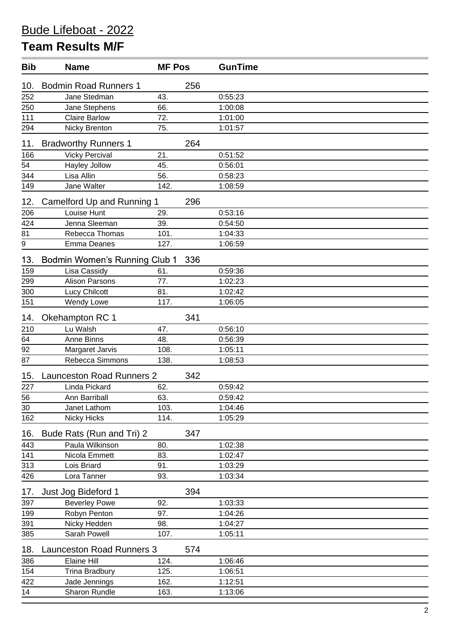## **Team Results M/F**

| <b>Bib</b>     | <b>Name</b>                      | <b>MF Pos</b> |     | <b>GunTime</b> |
|----------------|----------------------------------|---------------|-----|----------------|
| 10.            | <b>Bodmin Road Runners 1</b>     |               | 256 |                |
| 252            | Jane Stedman                     | 43.           |     | 0:55:23        |
| 250            | Jane Stephens                    | 66.           |     | 1:00:08        |
| 111            | <b>Claire Barlow</b>             | 72.           |     | 1:01:00        |
| 294            | Nicky Brenton                    | 75.           |     | 1:01:57        |
| 11.            | <b>Bradworthy Runners 1</b>      |               | 264 |                |
| 166            | <b>Vicky Percival</b>            | 21.           |     | 0:51:52        |
| 54             | Hayley Jollow                    | 45.           |     | 0:56:01        |
| 344            | Lisa Allin                       | 56.           |     | 0:58:23        |
| 149            | Jane Walter                      | 142.          |     | 1:08:59        |
| 12.            | Camelford Up and Running 1       |               | 296 |                |
| 206            | Louise Hunt                      | 29.           |     | 0:53:16        |
| 424            | Jenna Sleeman                    | 39.           |     | 0:54:50        |
| 81             | Rebecca Thomas                   | 101.          |     | 1:04:33        |
| $\overline{9}$ | Emma Deanes                      | 127.          |     | 1:06:59        |
| 13.            | Bodmin Women's Running Club 1    |               | 336 |                |
| 159            | Lisa Cassidy                     | 61.           |     | 0:59:36        |
| 299            | <b>Alison Parsons</b>            | 77.           |     | 1:02:23        |
| 300            | Lucy Chilcott                    | 81.           |     | 1:02:42        |
| 151            | Wendy Lowe                       | 117.          |     | 1:06:05        |
| 14.            | Okehampton RC 1                  |               | 341 |                |
| 210            | Lu Walsh                         | 47.           |     | 0:56:10        |
| 64             | Anne Binns                       | 48.           |     | 0:56:39        |
| 92             | Margaret Jarvis                  | 108.          |     | 1:05:11        |
| 87             | Rebecca Simmons                  | 138.          |     | 1:08:53        |
| 15.            | <b>Launceston Road Runners 2</b> |               | 342 |                |
| 227            | Linda Pickard                    | 62.           |     | 0:59:42        |
| 56             | Ann Barriball                    | 63.           |     | 0:59:42        |
| 30             | Janet Lathom                     | 103.          |     | 1:04:46        |
| 162            | <b>Nicky Hicks</b>               | 114.          |     | 1:05:29        |
| 16.            | Bude Rats (Run and Tri) 2        |               | 347 |                |
| 443            | Paula Wilkinson                  | 80.           |     | 1:02:38        |
| 141            | Nicola Emmett                    | 83.           |     | 1:02:47        |
| 313            | Lois Briard                      | 91.           |     | 1:03:29        |
| 426            | Lora Tanner                      | 93.           |     | 1:03:34        |
| 17.            | Just Jog Bideford 1              |               | 394 |                |
| 397            | <b>Beverley Powe</b>             | 92.           |     | 1:03:33        |
| 199            | Robyn Penton                     | 97.           |     | 1:04:26        |
| 391            | Nicky Hedden                     | 98.           |     | 1:04:27        |
| 385            | Sarah Powell                     | 107.          |     | 1:05:11        |
| 18.            | <b>Launceston Road Runners 3</b> |               | 574 |                |
| 386            | <b>Elaine Hill</b>               | 124.          |     | 1:06:46        |
| 154            | <b>Trina Bradbury</b>            | 125.          |     | 1:06:51        |
| 422            | Jade Jennings                    | 162.          |     | 1:12:51        |
| 14             | Sharon Rundle                    | 163.          |     | 1:13:06        |